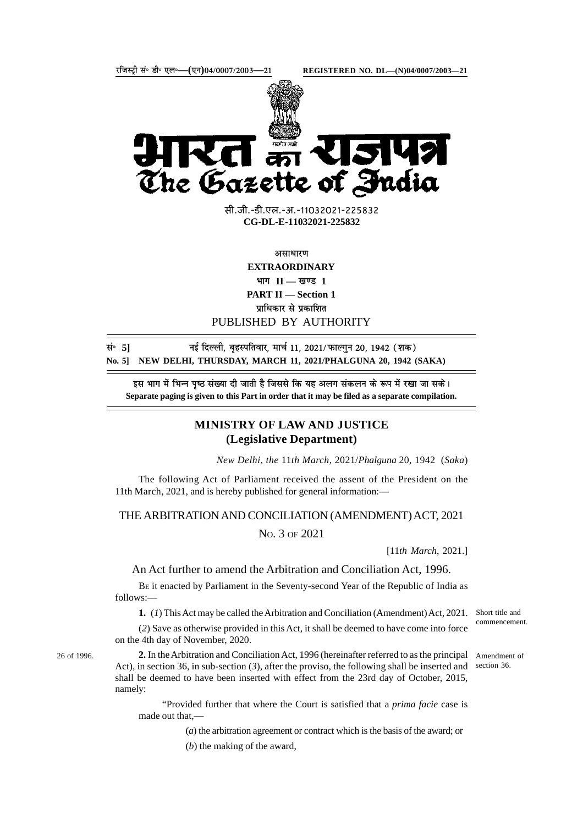

सी.जी.-डी.एल.-अ.-11032021-225832 **xxxGIDExxx CG-DL-E-11032021-225832**

असाधारण

**EXTRAORDINARY**  $\mathbf{H} = \mathbf{I}$  **II** — खण्ड 1 **PART II — Section 1** पाधिकार से प्रकाशित

PUBLISHED BY AUTHORITY

**lañ 5] ubZ fnYyh] c`gLifrokj] ekpZ 11] 2021@QkYxqu 20] 1942 ¼'kd½ No. 5] NEW DELHI, THURSDAY, MARCH 11, 2021/PHALGUNA 20, 1942 (SAKA)**

इस भाग में भिन्न पृष्ठ संख्या दी जाती है जिससे कि यह अलग संकलन के रूप में रखा जा सके। **Separate paging is given to this Part in order that it may be filed as a separate compilation.**

## **MINISTRY OF LAW AND JUSTICE (Legislative Department)**

*New Delhi, the* 11*th March,* 2021/*Phalguna* 20*,* 1942 (*Saka*)

The following Act of Parliament received the assent of the President on the 11th March, 2021, and is hereby published for general information:—

## THE ARBITRATION AND CONCILIATION (AMENDMENT) ACT, 2021

NO. 3 OF 2021

[11*th March*, 2021.]

An Act further to amend the Arbitration and Conciliation Act, 1996.

BE it enacted by Parliament in the Seventy-second Year of the Republic of India as follows:––

**1.** (*1*) This Act may be called the Arbitration and Conciliation (Amendment) Act, 2021.

(*2*) Save as otherwise provided in this Act, it shall be deemed to have come into force on the 4th day of November, 2020.

26 of 1996.

**2.** In the Arbitration and Conciliation Act, 1996 (hereinafter referred to as the principal Act), in section 36, in sub-section (*3*), after the proviso, the following shall be inserted and shall be deemed to have been inserted with effect from the 23rd day of October, 2015, namely:

"Provided further that where the Court is satisfied that a *prima facie* case is made out that,—

(*a*) the arbitration agreement or contract which is the basis of the award; or

(*b*) the making of the award,

Short title and commencement.

Amendment of section 36.